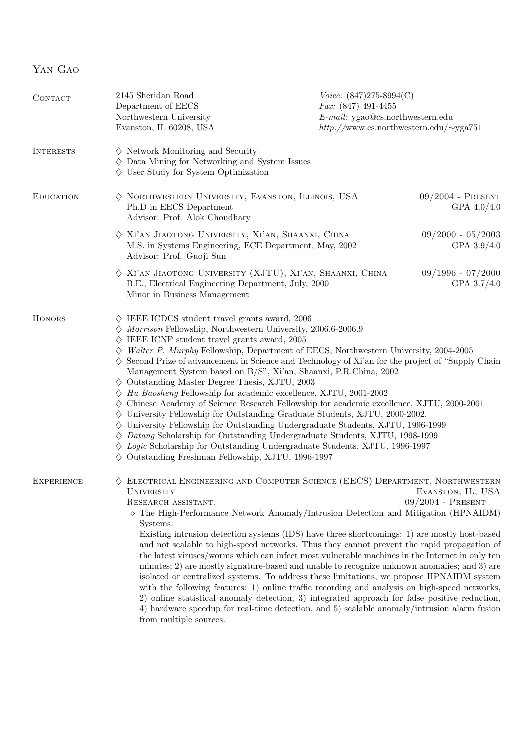| ÷АO |
|-----|
|     |

| CONTACT           | 2145 Sheridan Road<br>Department of EECS<br>Northwestern University<br>Evanston, IL 60208, USA                                                                                                                                                                                                                                                                                                                                                                                                                                                                                                                                                                                                                                                                                                                                                                                                                                                                                                                                                                                                                                                                                                    | Voice: $(847)275-8994(C)$<br>$Fax: (847)$ 491-4455<br>$E\text{-}mail:$ ygao@cs.northwestern.edu<br>$http://www.cs.northwestern.edu/\sim ya751$ |                                          |  |
|-------------------|---------------------------------------------------------------------------------------------------------------------------------------------------------------------------------------------------------------------------------------------------------------------------------------------------------------------------------------------------------------------------------------------------------------------------------------------------------------------------------------------------------------------------------------------------------------------------------------------------------------------------------------------------------------------------------------------------------------------------------------------------------------------------------------------------------------------------------------------------------------------------------------------------------------------------------------------------------------------------------------------------------------------------------------------------------------------------------------------------------------------------------------------------------------------------------------------------|------------------------------------------------------------------------------------------------------------------------------------------------|------------------------------------------|--|
| <b>INTERESTS</b>  | $\diamond$ Network Monitoring and Security<br>$\diamondsuit$ Data Mining for Networking and System Issues<br>$\diamondsuit$ User Study for System Optimization                                                                                                                                                                                                                                                                                                                                                                                                                                                                                                                                                                                                                                                                                                                                                                                                                                                                                                                                                                                                                                    |                                                                                                                                                |                                          |  |
| <b>EDUCATION</b>  | $\diamond$ NORTHWESTERN UNIVERSITY, EVANSTON, ILLINOIS, USA<br>Ph.D in EECS Department<br>Advisor: Prof. Alok Choudhary                                                                                                                                                                                                                                                                                                                                                                                                                                                                                                                                                                                                                                                                                                                                                                                                                                                                                                                                                                                                                                                                           |                                                                                                                                                | $09/2004$ - PRESENT<br>GPA $4.0/4.0$     |  |
|                   | $\diamondsuit$ XI'AN JIAOTONG UNIVERSITY, XI'AN, SHAANXI, CHINA<br>M.S. in Systems Engineering, ECE Department, May, 2002<br>Advisor: Prof. Guoji Sun                                                                                                                                                                                                                                                                                                                                                                                                                                                                                                                                                                                                                                                                                                                                                                                                                                                                                                                                                                                                                                             |                                                                                                                                                | $09/2000 - 05/2003$<br>GPA $3.9/4.0$     |  |
|                   | $\diamondsuit$ XI'AN JIAOTONG UNIVERSITY (XJTU), XI'AN, SHAANXI, CHINA<br>$09/1996 - 07/2000$<br>B.E., Electrical Engineering Department, July, 2000<br>Minor in Business Management                                                                                                                                                                                                                                                                                                                                                                                                                                                                                                                                                                                                                                                                                                                                                                                                                                                                                                                                                                                                              |                                                                                                                                                |                                          |  |
| <b>HONORS</b>     | $\diamondsuit\,$ IEEE ICDCS student travel grants award, 2006<br>$\diamondsuit$ Morrison Fellowship, Northwestern University, 2006.6-2006.9<br>$\diamond$ IEEE ICNP student travel grants award, 2005<br>$\diamondsuit$ Walter P. Murphy Fellowship, Department of EECS, Northwestern University, 2004-2005<br>$\diamondsuit$ Second Prize of advancement in Science and Technology of Xi'an for the project of "Supply Chain"<br>Management System based on B/S", Xi'an, Shaanxi, P.R.China, 2002<br>$\diamond$ Outstanding Master Degree Thesis, XJTU, 2003<br>$\diamondsuit$ Hu Baosheng Fellowship for academic excellence, XJTU, 2001-2002<br>$\diamondsuit$ Chinese Academy of Science Research Fellowship for academic excellence, XJTU, 2000-2001<br>$\diamond$ University Fellowship for Outstanding Graduate Students, XJTU, 2000-2002.<br>$\diamond$ University Fellowship for Outstanding Undergraduate Students, XJTU, 1996-1999<br>$\diamondsuit$ Datang Scholarship for Outstanding Undergraduate Students, XJTU, 1998-1999<br>$\Diamond$ Logic Scholarship for Outstanding Undergraduate Students, XJTU, 1996-1997<br>$\diamond$ Outstanding Freshman Fellowship, XJTU, 1996-1997 |                                                                                                                                                |                                          |  |
| <b>EXPERIENCE</b> | $\diamondsuit$ ELECTRICAL ENGINEERING AND COMPUTER SCIENCE (EECS) DEPARTMENT, NORTHWESTERN<br><b>UNIVERSITY</b><br>RESEARCH ASSISTANT.<br>$\diamond$ The High-Performance Network Anomaly/Intrusion Detection and Mitigation (HPNAIDM)<br>Systems:<br>Existing intrusion detection systems (IDS) have three shortcomings: 1) are mostly host-based<br>and not scalable to high-speed networks. Thus they cannot prevent the rapid propagation of<br>the latest viruses/worms which can infect most vulnerable machines in the Internet in only ten<br>minutes; 2) are mostly signature-based and unable to recognize unknown anomalies; and 3) are<br>isolated or centralized systems. To address these limitations, we propose HPNAIDM system<br>with the following features: 1) online traffic recording and analysis on high-speed networks,<br>2) online statistical anomaly detection, 3) integrated approach for false positive reduction,<br>4) hardware speedup for real-time detection, and 5) scalable anomaly/intrusion alarm fusion<br>from multiple sources.                                                                                                                         |                                                                                                                                                | EVANSTON, IL, USA<br>$09/2004$ - PRESENT |  |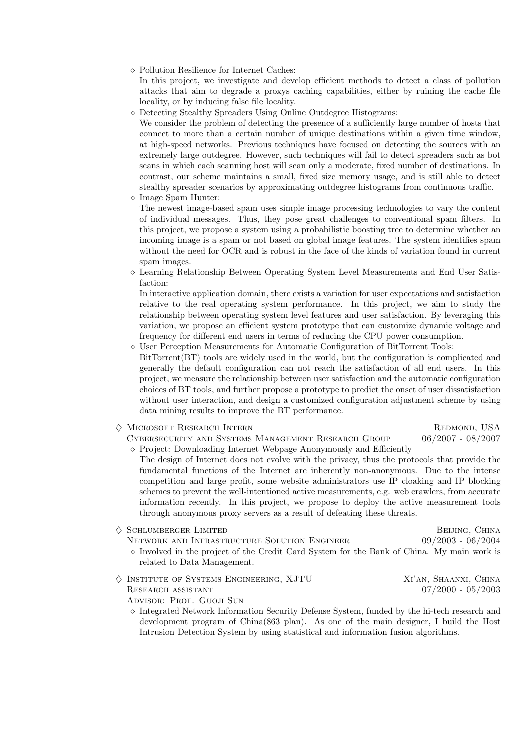¦ Pollution Resilience for Internet Caches:

In this project, we investigate and develop efficient methods to detect a class of pollution attacks that aim to degrade a proxys caching capabilities, either by ruining the cache file locality, or by inducing false file locality.

¦ Detecting Stealthy Spreaders Using Online Outdegree Histograms:

We consider the problem of detecting the presence of a sufficiently large number of hosts that connect to more than a certain number of unique destinations within a given time window, at high-speed networks. Previous techniques have focused on detecting the sources with an extremely large outdegree. However, such techniques will fail to detect spreaders such as bot scans in which each scanning host will scan only a moderate, fixed number of destinations. In contrast, our scheme maintains a small, fixed size memory usage, and is still able to detect stealthy spreader scenarios by approximating outdegree histograms from continuous traffic.

¦ Image Spam Hunter:

The newest image-based spam uses simple image processing technologies to vary the content of individual messages. Thus, they pose great challenges to conventional spam filters. In this project, we propose a system using a probabilistic boosting tree to determine whether an incoming image is a spam or not based on global image features. The system identifies spam without the need for OCR and is robust in the face of the kinds of variation found in current spam images.

 $\diamond$  Learning Relationship Between Operating System Level Measurements and End User Satisfaction:

In interactive application domain, there exists a variation for user expectations and satisfaction relative to the real operating system performance. In this project, we aim to study the relationship between operating system level features and user satisfaction. By leveraging this variation, we propose an efficient system prototype that can customize dynamic voltage and frequency for different end users in terms of reducing the CPU power consumption.

 $\Diamond$  User Perception Measurements for Automatic Configuration of BitTorrent Tools:

BitTorrent(BT) tools are widely used in the world, but the configuration is complicated and generally the default configuration can not reach the satisfaction of all end users. In this project, we measure the relationship between user satisfaction and the automatic configuration choices of BT tools, and further propose a prototype to predict the onset of user dissatisfaction without user interaction, and design a customized configuration adjustment scheme by using data mining results to improve the BT performance.

## ◆ MICROSOFT RESEARCH INTERN REDMOND, USA

Cybersecurity and Systems Management Research Group 06/2007 - 08/2007

 $\Diamond$  Project: Downloading Internet Webpage Anonymously and Efficiently The design of Internet does not evolve with the privacy, thus the protocols that provide the fundamental functions of the Internet are inherently non-anonymous. Due to the intense competition and large profit, some website administrators use IP cloaking and IP blocking schemes to prevent the well-intentioned active measurements, e.g. web crawlers, from accurate information recently. In this project, we propose to deploy the active measurement tools through anonymous proxy servers as a result of defeating these threats.

 $\Diamond$  Schlumberger Limited Beijing, China

- Network and Infrastructure Solution Engineer 09/2003 06/2004  $\Diamond$  Involved in the project of the Credit Card System for the Bank of China. My main work is related to Data Management.
- ♦ Institute of Systems Engineering, XJTU Xi'an, Shaanxi, China RESEARCH ASSISTANT  $07/2000 - 05/2003$ 
	- ADVISOR: PROF. GUOJI SUN
	- $\Diamond$  Integrated Network Information Security Defense System, funded by the hi-tech research and development program of China(863 plan). As one of the main designer, I build the Host Intrusion Detection System by using statistical and information fusion algorithms.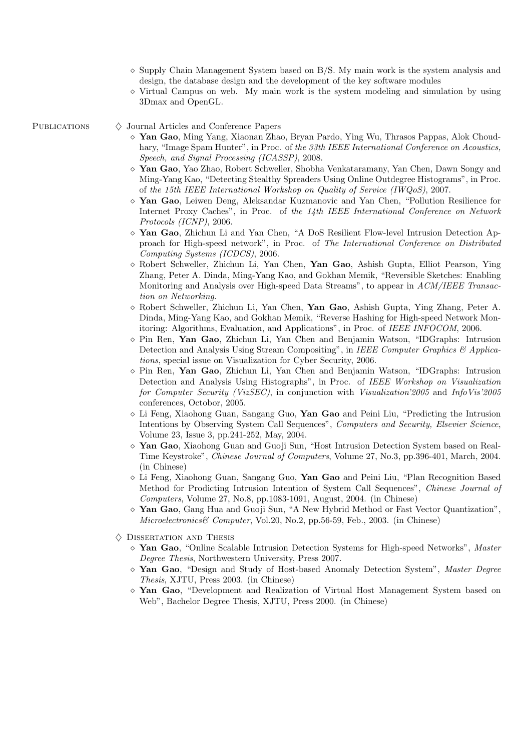- $\Diamond$  Supply Chain Management System based on B/S. My main work is the system analysis and design, the database design and the development of the key software modules
- $\Diamond$  Virtual Campus on web. My main work is the system modeling and simulation by using 3Dmax and OpenGL.

PUBLICATIONS  $\Diamond$  Journal Articles and Conference Papers

- ¦ Yan Gao, Ming Yang, Xiaonan Zhao, Bryan Pardo, Ying Wu, Thrasos Pappas, Alok Choudhary, "Image Spam Hunter", in Proc. of the 33th IEEE International Conference on Acoustics, Speech, and Signal Processing (ICASSP), 2008.
- ¦ Yan Gao, Yao Zhao, Robert Schweller, Shobha Venkataramany, Yan Chen, Dawn Songy and Ming-Yang Kao, "Detecting Stealthy Spreaders Using Online Outdegree Histograms", in Proc. of the 15th IEEE International Workshop on Quality of Service (IWQoS), 2007.
- ¦ Yan Gao, Leiwen Deng, Aleksandar Kuzmanovic and Yan Chen, "Pollution Resilience for Internet Proxy Caches", in Proc. of the 14th IEEE International Conference on Network Protocols (ICNP), 2006.
- ¦ Yan Gao, Zhichun Li and Yan Chen, "A DoS Resilient Flow-level Intrusion Detection Approach for High-speed network", in Proc. of The International Conference on Distributed Computing Systems (ICDCS), 2006.
- $\diamond$  Robert Schweller, Zhichun Li, Yan Chen, Yan Gao, Ashish Gupta, Elliot Pearson, Ying Zhang, Peter A. Dinda, Ming-Yang Kao, and Gokhan Memik, "Reversible Sketches: Enabling Monitoring and Analysis over High-speed Data Streams", to appear in ACM/IEEE Transaction on Networking.
- ¦ Robert Schweller, Zhichun Li, Yan Chen, Yan Gao, Ashish Gupta, Ying Zhang, Peter A. Dinda, Ming-Yang Kao, and Gokhan Memik, "Reverse Hashing for High-speed Network Monitoring: Algorithms, Evaluation, and Applications", in Proc. of IEEE INFOCOM, 2006.
- $\Diamond$  Pin Ren, Yan Gao, Zhichun Li, Yan Chen and Benjamin Watson, "IDGraphs: Intrusion Detection and Analysis Using Stream Compositing", in IEEE Computer Graphics & Applications, special issue on Visualization for Cyber Security, 2006.
- ¦ Pin Ren, Yan Gao, Zhichun Li, Yan Chen and Benjamin Watson, "IDGraphs: Intrusion Detection and Analysis Using Histographs", in Proc. of IEEE Workshop on Visualization for Computer Security (VizSEC), in conjunction with Visualization'2005 and InfoVis'2005 conferences, Octobor, 2005.
- $\Diamond$  Li Feng, Xiaohong Guan, Sangang Guo, Yan Gao and Peini Liu, "Predicting the Intrusion Intentions by Observing System Call Sequences", Computers and Security, Elsevier Science, Volume 23, Issue 3, pp.241-252, May, 2004.
- ¦ Yan Gao, Xiaohong Guan and Guoji Sun, "Host Intrusion Detection System based on Real-Time Keystroke", Chinese Journal of Computers, Volume 27, No.3, pp.396-401, March, 2004. (in Chinese)
- $\Diamond$  Li Feng, Xiaohong Guan, Sangang Guo, Yan Gao and Peini Liu, "Plan Recognition Based Method for Prodicting Intrusion Intention of System Call Sequences", Chinese Journal of Computers, Volume 27, No.8, pp.1083-1091, August, 2004. (in Chinese)
- $\Diamond$  Yan Gao, Gang Hua and Guoji Sun, "A New Hybrid Method or Fast Vector Quantization", Microelectronics& Computer, Vol.20, No.2, pp.56-59, Feb., 2003. (in Chinese)
- $\diamondsuit$  DISSERTATION AND THESIS
	- $\Diamond$  Yan Gao, "Online Scalable Intrusion Detection Systems for High-speed Networks", Master Degree Thesis, Northwestern University, Press 2007.
	- $\Diamond$  Yan Gao, "Design and Study of Host-based Anomaly Detection System", Master Degree Thesis, XJTU, Press 2003. (in Chinese)
	- ¦ Yan Gao, "Development and Realization of Virtual Host Management System based on Web", Bachelor Degree Thesis, XJTU, Press 2000. (in Chinese)